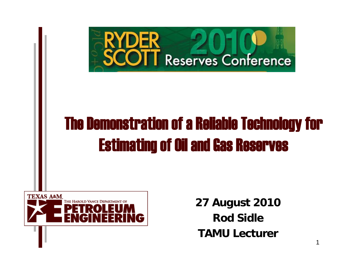

# The Demonstration of a Reliable Technology for Estimating of Oil and Gas Reserves



**27 August 2010 Rod SidleTAMU Lecturer**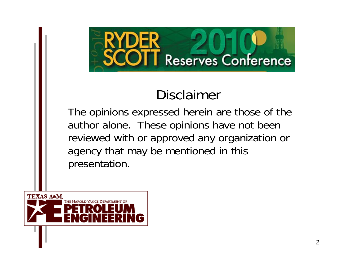

## Disclaimer

The opinions expressed herein are those of the author alone. These opinions have not been reviewed with or approved any organization or agency that may be mentioned in this presentation.

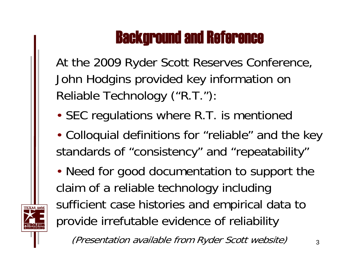## Background and Reference

At the 2009 Ryder Scott Reserves Conference, John Hodgins provided key information on Reliable Technology ("R.T."):

- SEC regulations where R.T. is mentioned
- Colloquial definitions for "reliable" and the key standards of "consistency" and "repeatability"
- Need for good documentation to support the claim of a reliable technology including sufficient case histories and empirical data to provide irrefutable evidence of reliability

(Presentation available from Ryder Scott website)

3

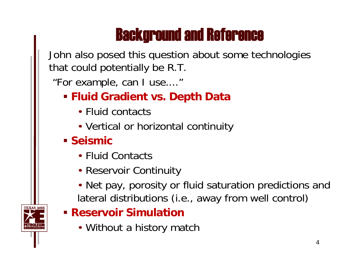## Background and Reference

John also posed this question about some technologies that could potentially be R.T.

"For example, can I use...."

- **Fluid Gradient vs. Depth Data**
	- Fluid contacts
	- Vertical or horizontal continuity
- **Seismic** 
	- Fluid Contacts
	- Reservoir Continuity
	- Net pay, porosity or fluid saturation predictions and lateral distributions (i.e., away from well control)
- **Reservoir Simulation**
	- Without a history match

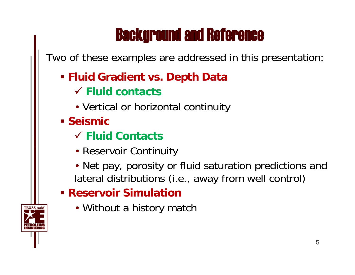## Background and Reference

Two of these examples are addressed in this presentation:

#### **Fluid Gradient vs. Depth Data**

- 9 **Fluid contacts**
- Vertical or horizontal continuity
- **Seismic** 
	- 9 **Fluid Contacts**
	- Reservoir Continuity
	- Net pay, porosity or fluid saturation predictions and lateral distributions (i.e., away from well control)

#### **Reservoir Simulation**

• Without a history match

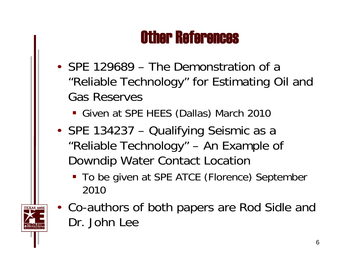## Other References

- SPE 129689 The Demonstration of a "Reliable Technology" for Estimating Oil and Gas Reserves
	- Given at SPE HEES (Dallas) March 2010
- SPE 134237 Qualifying Seismic as a "Reliable Technology" – An Example of Downdip Water Contact Location
	- **To be given at SPE ATCE (Florence) September** 2010
- Co-authors of both papers are Rod Sidle and Dr. John Lee

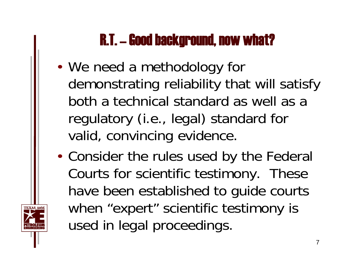## R.T. – Good background, now what?

- We need a methodology for demonstrating reliability that will satisfy both a technical standard as well as a regulatory (i.e., legal) standard for valid, convincing evidence.
- Consider the rules used by the Federal Courts for scientific testimony. These have been established to guide courts when "expert" scientific testimony is used in legal proceedings.

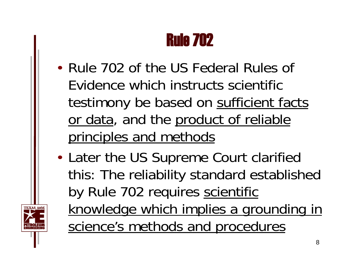## Rule 702

- Rule 702 of the US Federal Rules of Evidence which instructs scientific testimony be based on sufficient facts or data, and the product of reliable principles and methods
- Later the US Supreme Court clarified this: The reliability standard established by Rule 702 requires scientific knowledge which implies a grounding in science's methods and procedures

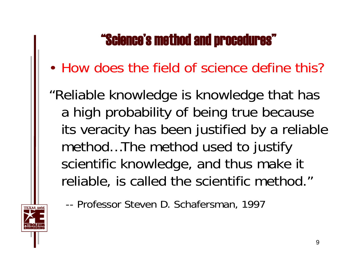## "Science's method and procedures"

- How does the field of science define this?
- "Reliable knowledge is knowledge that has a high probability of being true because its veracity has been justified by a reliable method…The method used to justify scientific knowledge, and thus make it reliable, is called the scientific method."
	- -- Professor Steven D. Schafersman, 1997

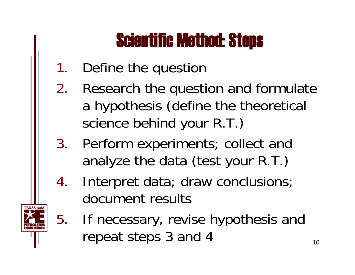# Scientific Method: Steps

- 1.Define the question
- 2. Research the question and formulate a hypothesis (define the theoretical science behind your R.T.)
- 3. Perform experiments; collect and analyze the data (test your R.T.)
- 4. Interpret data; draw conclusions; document results



5. If necessary, revise hypothesis and repeat steps  $3$  and  $4$  10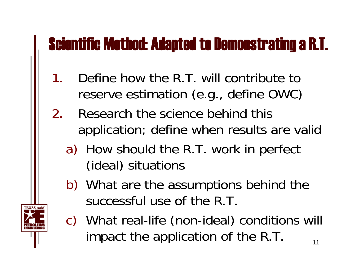## Scientific Method: Adapted to Demonstrating a R.T.

- 1. Define how the R.T. will contribute to reserve estimation (e.g., define OWC)
- 2. Research the science behind this application; define when results are valid
	- a) How should the R.T. work in perfect (ideal) situations
	- b) What are the assumptions behind the successful use of the R.T.



c) What real-life (non-ideal) conditions will impact the application of the R.T.  $\frac{1}{11}$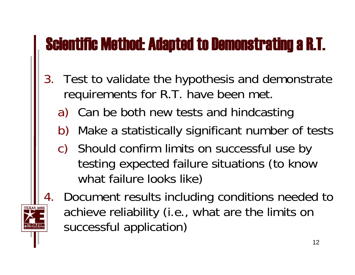# Scientific Method: Adapted to Demonstrating a R.T.

- 3. Test to validate the hypothesis and demonstrate requirements for R.T. have been met.
	- a) Can be both new tests and hindcasting
	- b) Make a statistically significant number of tests
	- c) Should confirm limits on successful use by testing expected failure situations (to know what failure looks like)
- 4. Document results including conditions needed to achieve reliability (i.e., what are the limits on successful application)

12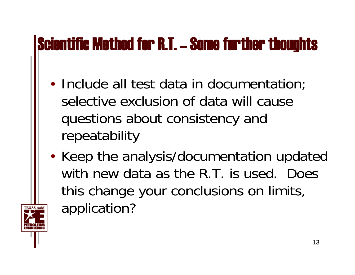# Scientific Method for R.T. – Some further thoughts

- Include all test data in documentation; selective exclusion of data will cause questions about consistency and repeatability
- •• Keep the analysis/documentation updated with new data as the R.T. is used. Does this change your conclusions on limits, application?

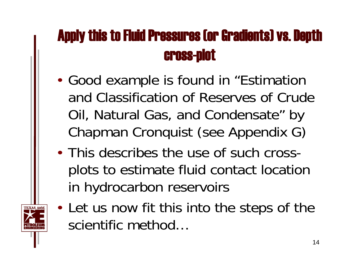## Apply this to Fluid Pressures (or Gradients) vs. Depth cross-plot

- Good example is found in "Estimation and Classification of Reserves of Crude Oil, Natural Gas, and Condensate" by Chapman Cronquist (see Appendix G)
- This describes the use of such crossplots to estimate fluid contact location in hydrocarbon reservoirs
- Let us now fit this into the steps of the scientific method…

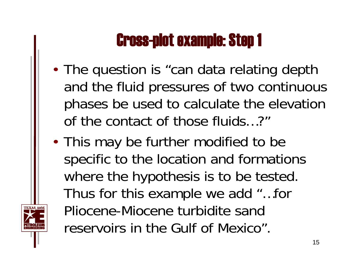# Cross-plot example: Step 1

- The question is "can data relating depth and the fluid pressures of two continuous phases be used to calculate the elevation of the contact of those fluids…?"
- This may be further modified to be specific to the location and formations where the hypothesis is to be tested. Thus for this example we add "…for Pliocene-Miocene turbidite sand reservoirs in the Gulf of Mexico".

15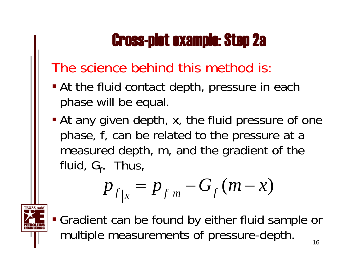# Cross-plot example: Step 2a

## The science behind this method is:

- **At the fluid contact depth, pressure in each** phase will be equal.
- **At any given depth, x, the fluid pressure of one** phase, f, can be related to the pressure at a measured depth, m, and the gradient of the fluid,  $G_f$ . Thus,

$$
p_{f|x} = p_{f|m} - G_f(m-x)
$$



 Gradient can be found by either fluid sample or multiple measurements of pressure-depth.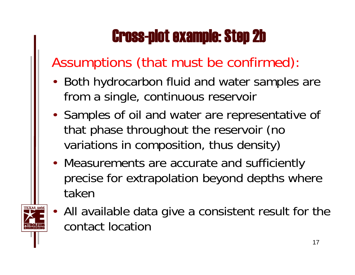# Cross-plot example: Step 2b

## Assumptions (that must be confirmed):

- Both hydrocarbon fluid and water samples are from a single, continuous reservoir
- Samples of oil and water are representative of that phase throughout the reservoir (no variations in composition, thus density)
- Measurements are accurate and sufficiently precise for extrapolation beyond depths where taken
- All available data give a consistent result for the contact location

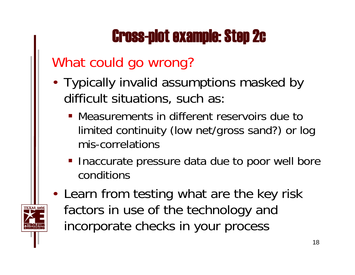# Cross-plot example: Step 2c

## What could go wrong?

- Typically invalid assumptions masked by difficult situations, such as:
	- Measurements in different reservoirs due to limited continuity (low net/gross sand?) or log mis-correlations
	- **Inaccurate pressure data due to poor well bore** conditions
- Learn from testing what are the key risk factors in use of the technology and incorporate checks in your process

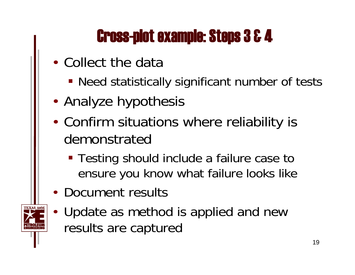## Cross-plot example: Steps 3 & 4

- Collect the data
	- **Need statistically significant number of tests**
- Analyze hypothesis
- Confirm situations where reliability is demonstrated
	- **Testing should include a failure case to** ensure you know what failure looks like
- Document results
- Update as method is applied and new results are captured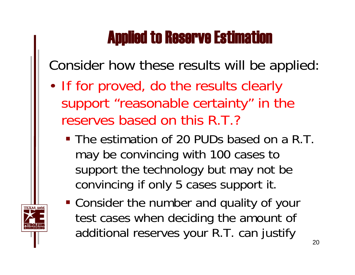## Applied to Reserve Estimation

Consider how these results will be applied:

- If for proved, do the results clearly support "reasonable certainty" in the reserves based on this R.T.?
	- The estimation of 20 PUDs based on a R.T. may be convincing with 100 cases to support the technology but may not be convincing if only 5 cases support it.
	- Consider the number and quality of your test cases when deciding the amount of additional reserves your R.T. can justify

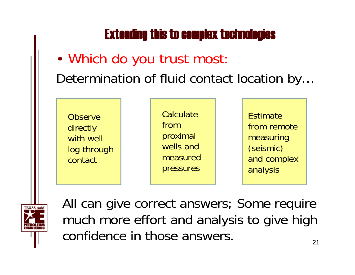### Extending this to complex technologies

## • Which do you trust most: Determination of fluid contact location by…





All can give correct answers; Some require much more effort and analysis to give high confidence in those answers.21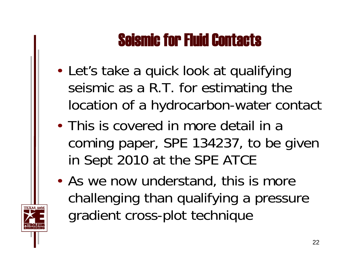## Seismic for Fluid Contacts

- Let's take a quick look at qualifying seismic as a R.T. for estimating the location of a hydrocarbon-water contact
- This is covered in more detail in a coming paper, SPE 134237, to be given in Sept 2010 at the SPE ATCE
- As we now understand, this is more challenging than qualifying a pressure gradient cross-plot technique

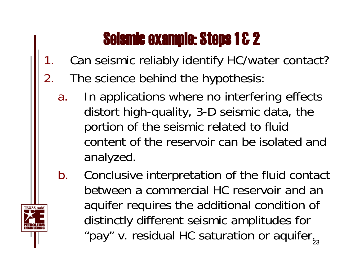## Seismic example: Steps 1 & 2

- 1.Can seismic reliably identify HC/water contact?
- 2. The science behind the hypothesis:
	- a. In applications where no interfering effects distort high-quality, 3-D seismic data, the portion of the seismic related to fluid content of the reservoir can be isolated and analyzed.
	- b. Conclusive interpretation of the fluid contact between a commercial HC reservoir and an aquifer requires the additional condition of distinctly different seismic amplitudes for "pay" v. residual HC saturation or aquifer $\frac{1}{2}$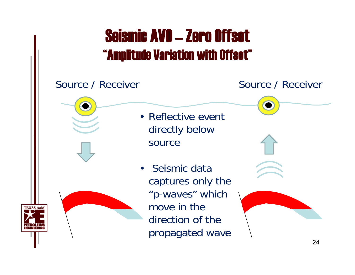## Seismic AVO – Zero Offset"Amplitude Variation with Offset"

#### Source / Receiver Source / Receiver

- Reflective event directly below source
- Seismic data captures only the "p-waves" which move in the direction of the propagated wave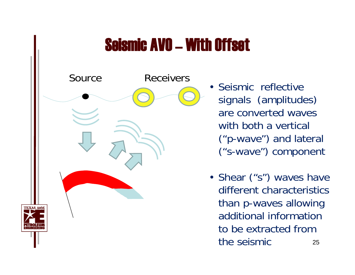# Seismic AVO – With Offset



- Seismic reflective signals (amplitudes) are converted waves with both a vertical ("p-wave") and lateral ("s-wave") component
- Shear ("s") waves have different characteristics than p-waves allowing additional information to be extracted from the seismic25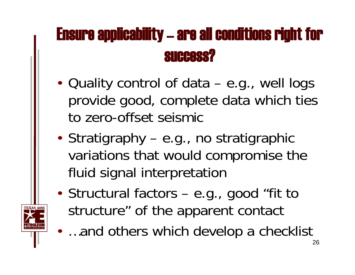# Ensure applicability – are all conditions right for success?

- Quality control of data e.g., well logs provide good, complete data which ties to zero-offset seismic
- Stratigraphy e.g., no stratigraphic variations that would compromise the fluid signal interpretation
- Structural factors e.g., good "fit to structure" of the apparent contact

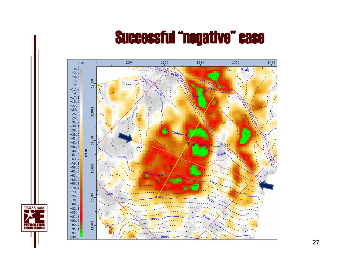## Successful "negative" case



**TEXAS A&M** 

**PETROLEUM**<br>ENGINEERING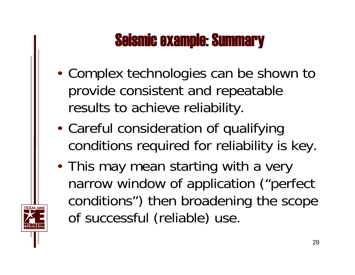## Seismic example: Summary

- Complex technologies can be shown to provide consistent and repeatable results to achieve reliability.
- Careful consideration of qualifying conditions required for reliability is key.
- This may mean starting with a very narrow window of application ("perfect conditions") then broadening the scope of successful (reliable) use.

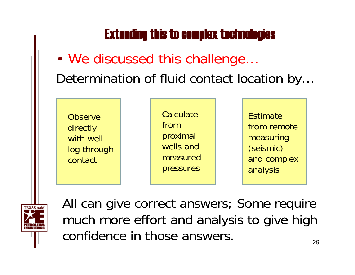### Extending this to complex technologies

## • We discussed this challenge… Determination of fluid contact location by…





All can give correct answers; Some require much more effort and analysis to give high confidence in those answers.29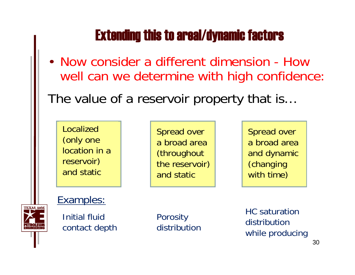## Extending this to areal/dynamic factors

- Now consider a different dimension How well can we determine with high confidence:
- The value of a reservoir property that is…

Localized (only one location in a reservoir) and static

Spread over a broad area (throughout the reservoir) and static

Spread over a broad area and dynamic (changing with time)

#### Examples:



Initial fluid contact depth **Porosity** distribution HC saturation distribution while producing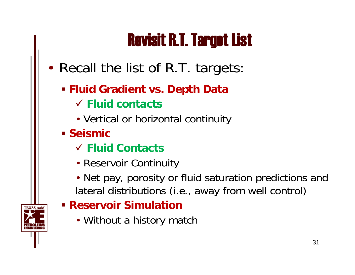# Revisit R.T. Target List

- Recall the list of R.T. targets:
	- **Fluid Gradient vs. Depth Data** 9 **Fluid contacts**
		- Vertical or horizontal continuity
	- **Seismic** 
		- 9 **Fluid Contacts**
		- Reservoir Continuity
		- Net pay, porosity or fluid saturation predictions and lateral distributions (i.e., away from well control)
	- **Reservoir Simulation**
		- Without a history match

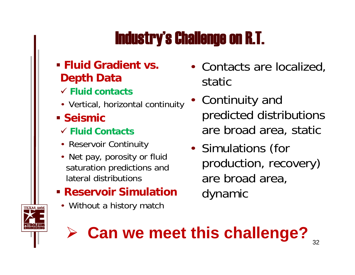# Industry's Challenge on R.T.

#### **Fluid Gradient vs. Depth Data**

- 9 **Fluid contacts**
- Vertical, horizontal continuity
- **Seismic** 
	- 9 **Fluid Contacts**
	- Reservoir Continuity
	- Net pay, porosity or fluid saturation predictions and lateral distributions
- **Reservoir Simulation**
	- Without a history match
- Contacts are localized, static
- • Continuity and predicted distributions are broad area, static
- •• Simulations (for production, recovery) are broad area, dynamic



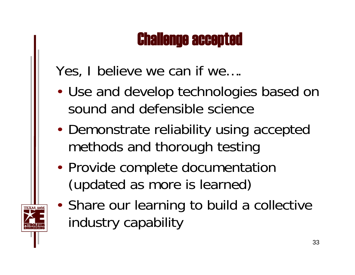## Challenge accepted

Yes, I believe we can if we….

- Use and develop technologies based on sound and defensible science
- Demonstrate reliability using accepted methods and thorough testing
- Provide complete documentation (updated as more is learned)
- Share our learning to build a collective industry capability

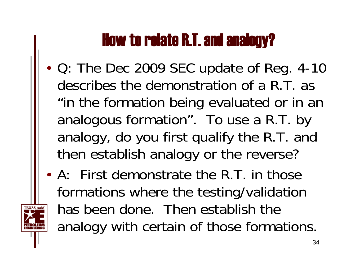# How to relate R.T. and analogy?

- Q: The Dec 2009 SEC update of Reg. 4-10 describes the demonstration of a R.T. as "in the formation being evaluated or in an analogous formation". To use a R.T. by analogy, do you first qualify the R.T. and then establish analogy or the reverse?
- A: First demonstrate the R.T. in those formations where the testing/validation has been done. Then establish the analogy with certain of those formations.

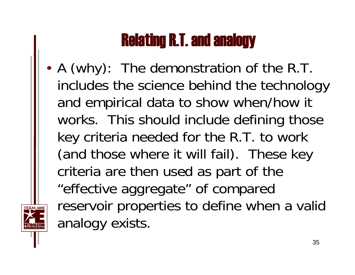# Relating R.T. and analogy

• A (why): The demonstration of the R.T. includes the science behind the technology and empirical data to show when/how it works. This should include defining those key criteria needed for the R.T. to work (and those where it will fail). These key criteria are then used as part of the "effective aggregate" of compared reservoir properties to define when a valid analogy exists.